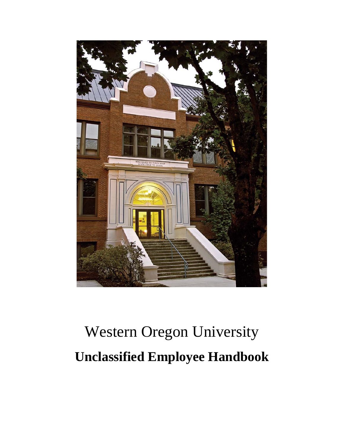

# Western Oregon University **Unclassified Employee Handbook**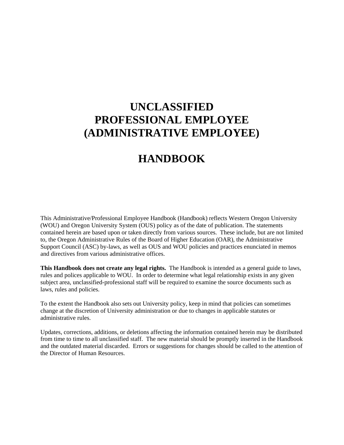# **UNCLASSIFIED PROFESSIONAL EMPLOYEE (ADMINISTRATIVE EMPLOYEE)**

# **HANDBOOK**

This Administrative/Professional Employee Handbook (Handbook) reflects Western Oregon University (WOU) and Oregon University System (OUS) policy as of the date of publication. The statements contained herein are based upon or taken directly from various sources. These include, but are not limited to, the Oregon Administrative Rules of the Board of Higher Education (OAR), the Administrative Support Council (ASC) by-laws, as well as OUS and WOU policies and practices enunciated in memos and directives from various administrative offices.

**This Handbook does not create any legal rights.** The Handbook is intended as a general guide to laws, rules and polices applicable to WOU. In order to determine what legal relationship exists in any given subject area, unclassified-professional staff will be required to examine the source documents such as laws, rules and policies.

To the extent the Handbook also sets out University policy, keep in mind that policies can sometimes change at the discretion of University administration or due to changes in applicable statutes or administrative rules.

Updates, corrections, additions, or deletions affecting the information contained herein may be distributed from time to time to all unclassified staff. The new material should be promptly inserted in the Handbook and the outdated material discarded. Errors or suggestions for changes should be called to the attention of the Director of Human Resources.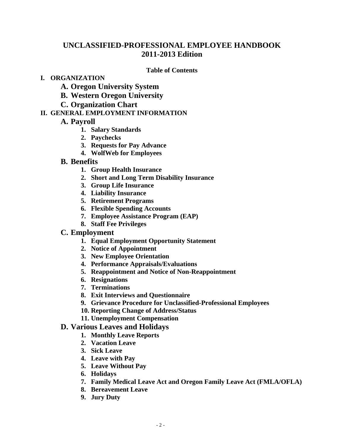# **UNCLASSIFIED-PROFESSIONAL EMPLOYEE HANDBOOK 2011-2013 Edition**

#### **Table of Contents**

#### **I. ORGANIZATION**

- **A. Oregon University System**
- **B. Western Oregon University**
- **C. Organization Chart**

# **II. GENERAL EMPLOYMENT INFORMATION**

- **A. Payroll**
	- **1. Salary Standards**
	- **2. Paychecks**
	- **3. Requests for Pay Advance**
	- **4. WolfWeb for Employees**

## **B. Benefits**

- **1. Group Health Insurance**
- **2. Short and Long Term Disability Insurance**
- **3. Group Life Insurance**
- **4. Liability Insurance**
- **5. Retirement Programs**
- **6. Flexible Spending Accounts**
- **7. Employee Assistance Program (EAP)**
- **8. Staff Fee Privileges**

# **C. Employment**

- **1. Equal Employment Opportunity Statement**
- **2. Notice of Appointment**
- **3. New Employee Orientation**
- **4. Performance Appraisals/Evaluations**
- **5. Reappointment and Notice of Non-Reappointment**
- **6. Resignations**
- **7. Terminations**
- **8. Exit Interviews and Questionnaire**
- **9. Grievance Procedure for Unclassified-Professional Employees**
- **10. Reporting Change of Address/Status**
- **11. Unemployment Compensation**

# **D. Various Leaves and Holidays**

- **1. Monthly Leave Reports**
- **2. Vacation Leave**
- **3. Sick Leave**
- **4. Leave with Pay**
- **5. Leave Without Pay**
- **6. Holidays**
- **7. Family Medical Leave Act and Oregon Family Leave Act (FMLA/OFLA)**
- **8. Bereavement Leave**
- **9. Jury Duty**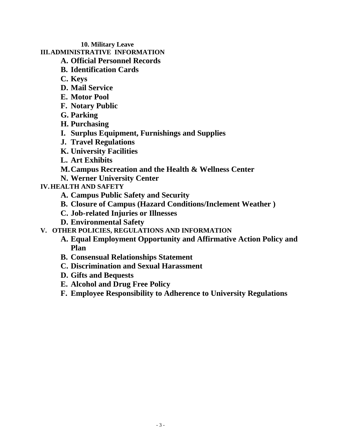## **10. Military Leave**

# **III.ADMINISTRATIVE INFORMATION**

- **A. Official Personnel Records**
- **B. Identification Cards**
- **C. Keys**
- **D. Mail Service**
- **E. Motor Pool**
- **F. Notary Public**
- **G. Parking**
- **H. Purchasing**
- **I. Surplus Equipment, Furnishings and Supplies**
- **J. Travel Regulations**
- **K. University Facilities**
- **L. Art Exhibits**
- **M.Campus Recreation and the Health & Wellness Center**
- **N. Werner University Center**
- **IV.HEALTH AND SAFETY**
	- **A. Campus Public Safety and Security**
	- **B. Closure of Campus (Hazard Conditions/Inclement Weather )**
	- **C. Job-related Injuries or Illnesses**
	- **D. Environmental Safety**
- **V. OTHER POLICIES, REGULATIONS AND INFORMATION**
	- **A. Equal Employment Opportunity and Affirmative Action Policy and Plan**
	- **B. Consensual Relationships Statement**
	- **C. Discrimination and Sexual Harassment**
	- **D. Gifts and Bequests**
	- **E. Alcohol and Drug Free Policy**
	- **F. Employee Responsibility to Adherence to University Regulations**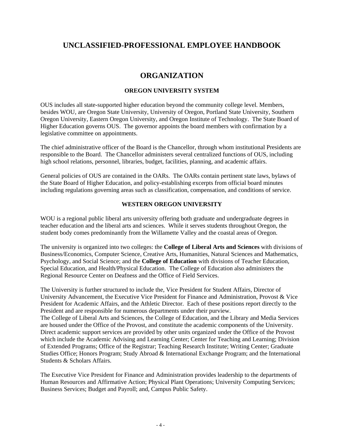# **UNCLASSIFIED-PROFESSIONAL EMPLOYEE HANDBOOK**

# **ORGANIZATION**

#### **OREGON UNIVERSITY SYSTEM**

OUS includes all state-supported higher education beyond the community college level. Members, besides WOU, are Oregon State University, University of Oregon, Portland State University, Southern Oregon University, Eastern Oregon University, and Oregon Institute of Technology. The State Board of Higher Education governs OUS. The governor appoints the board members with confirmation by a legislative committee on appointments.

The chief administrative officer of the Board is the Chancellor, through whom institutional Presidents are responsible to the Board. The Chancellor administers several centralized functions of OUS, including high school relations, personnel, libraries, budget, facilities, planning, and academic affairs.

General policies of OUS are contained in the OARs. The OARs contain pertinent state laws, bylaws of the State Board of Higher Education, and policy-establishing excerpts from official board minutes including regulations governing areas such as classification, compensation, and conditions of service.

#### **WESTERN OREGON UNIVERSITY**

WOU is a regional public liberal arts university offering both graduate and undergraduate degrees in teacher education and the liberal arts and sciences. While it serves students throughout Oregon, the student body comes predominantly from the Willamette Valley and the coastal areas of Oregon.

The university is organized into two colleges: the **College of Liberal Arts and Sciences** with divisions of Business/Economics, Computer Science, Creative Arts, Humanities, Natural Sciences and Mathematics, Psychology, and Social Science; and the **College of Education** with divisions of Teacher Education, Special Education, and Health/Physical Education. The College of Education also administers the Regional Resource Center on Deafness and the Office of Field Services.

The University is further structured to include the, Vice President for Student Affairs, Director of University Advancement, the Executive Vice President for Finance and Administration, Provost & Vice President for Academic Affairs, and the Athletic Director. Each of these positions report directly to the President and are responsible for numerous departments under their purview.

The College of Liberal Arts and Sciences, the College of Education, and the Library and Media Services are housed under the Office of the Provost, and constitute the academic components of the University. Direct academic support services are provided by other units organized under the Office of the Provost which include the Academic Advising and Learning Center; Center for Teaching and Learning; Division of Extended Programs; Office of the Registrar; Teaching Research Institute; Writing Center; Graduate Studies Office; Honors Program; Study Abroad & International Exchange Program; and the International Students & Scholars Affairs.

The Executive Vice President for Finance and Administration provides leadership to the departments of Human Resources and Affirmative Action; Physical Plant Operations; University Computing Services; Business Services; Budget and Payroll; and, Campus Public Safety.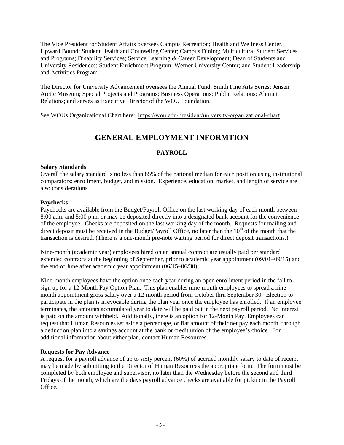The Vice President for Student Affairs oversees Campus Recreation; Health and Wellness Center, Upward Bound; Student Health and Counseling Center; Campus Dining; Multicultural Student Services and Programs; Disability Services; Service Learning & Career Development; Dean of Students and University Residences; Student Enrichment Program; Werner University Center; and Student Leadership and Activities Program.

The Director for University Advancement oversees the Annual Fund; Smith Fine Arts Series; Jensen Arctic Museum; Special Projects and Programs; Business Operations; Public Relations; Alumni Relations; and serves as Executive Director of the WOU Foundation.

See WOUs Organizational Chart here: https://wou.edu/president/university-organizational-chart

# **GENERAL EMPLOYMENT INFORMTION**

#### **PAYROLL**

#### **Salary Standards**

Overall the salary standard is no less than 85% of the national median for each position using institutional comparators: enrollment, budget, and mission. Experience, education, market, and length of service are also considerations.

#### **Paychecks**

Paychecks are available from the Budget/Payroll Office on the last working day of each month between 8:00 a.m. and 5:00 p.m. or may be deposited directly into a designated bank account for the convenience of the employee. Checks are deposited on the last working day of the month. Requests for mailing and direct deposit must be received in the Budget/Payroll Office, no later than the  $10<sup>th</sup>$  of the month that the transaction is desired. (There is a one-month pre-note waiting period for direct deposit transactions.)

Nine-month (academic year) employees hired on an annual contract are usually paid per standard extended contracts at the beginning of September, prior to academic year appointment (09/01–09/15) and the end of June after academic year appointment (06/15–06/30).

Nine-month employees have the option once each year during an open enrollment period in the fall to sign up for a 12-Month Pay Option Plan. This plan enables nine-month employees to spread a ninemonth appointment gross salary over a 12-month period from October thru September 30. Election to participate in the plan is irrevocable during the plan year once the employee has enrolled. If an employee terminates, the amounts accumulated year to date will be paid out in the next payroll period. No interest is paid on the amount withheld. Additionally, there is an option for 12-Month Pay. Employees can request that Human Resources set aside a percentage, or flat amount of their net pay each month, through a deduction plan into a savings account at the bank or credit union of the employee's choice. For additional information about either plan, contact Human Resources.

#### **Requests for Pay Advance**

A request for a payroll advance of up to sixty percent (60%) of accrued monthly salary to date of receipt may be made by submitting to the Director of Human Resources the appropriate form. The form must be completed by both employee and supervisor, no later than the Wednesday before the second and third Fridays of the month, which are the days payroll advance checks are available for pickup in the Payroll Office*.*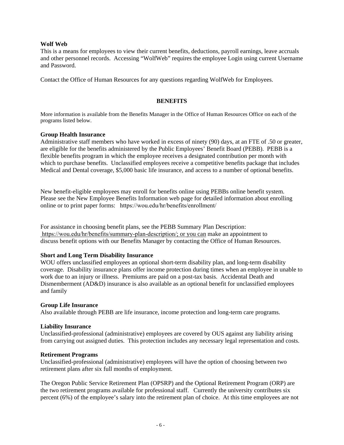#### **Wolf Web**

This is a means for employees to view their current benefits, deductions, payroll earnings, leave accruals and other personnel records. Accessing "WolfWeb" requires the employee Login using current Username and Password.

Contact the Office of Human Resources for any questions regarding WolfWeb for Employees.

#### **BENEFITS**

More information is available from the Benefits Manager in the Office of Human Resources Office on each of the programs listed below.

#### **Group Health Insurance**

Administrative staff members who have worked in excess of ninety (90) days, at an FTE of .50 or greater, are eligible for the benefits administered by the Public Employees' Benefit Board (PEBB). PEBB is a flexible benefits program in which the employee receives a designated contribution per month with which to purchase benefits. Unclassified employees receive a competitive benefits package that includes Medical and Dental coverage, \$5,000 basic life insurance, and access to a number of optional benefits.

New benefit-eligible employees may enroll for benefits online using PEBBs online benefit system. Please see the New Employee Benefits Information web page for detailed information about enrolling online or to print paper forms: https://wou.edu/hr/benefits/enrollment/

For assistance in choosing benefit plans, see the PEBB Summary Plan Description: https://wou.edu/hr/benefits/summary-plan-description/; or you can make an appointment to discuss benefit options with our Benefits Manager by contacting the Office of Human Resources.

#### **Short and Long Term Disability Insurance**

WOU offers unclassified employees an optional short-term disability plan, and long-term disability coverage. Disability insurance plans offer income protection during times when an employee in unable to work due to an injury or illness. Premiums are paid on a post-tax basis. Accidental Death and Dismemberment (AD&D) insurance is also available as an optional benefit for unclassified employees and family

#### **Group Life Insurance**

Also available through PEBB are life insurance, income protection and long-term care programs.

#### **Liability Insurance**

Unclassified-professional (administrative) employees are covered by OUS against any liability arising from carrying out assigned duties. This protection includes any necessary legal representation and costs.

#### **Retirement Programs**

Unclassified-professional (administrative) employees will have the option of choosing between two retirement plans after six full months of employment.

The Oregon Public Service Retirement Plan (OPSRP) and the Optional Retirement Program (ORP) are the two retirement programs available for professional staff. Currently the university contributes six percent (6%) of the employee's salary into the retirement plan of choice. At this time employees are not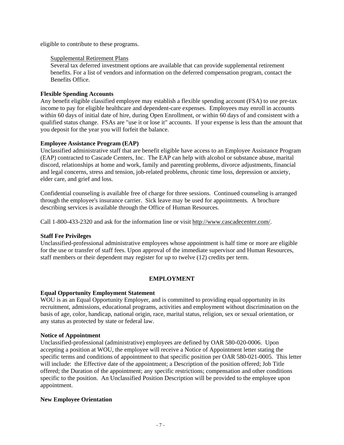eligible to contribute to these programs.

#### Supplemental Retirement Plans

Several tax deferred investment options are available that can provide supplemental retirement benefits. For a list of vendors and information on the deferred compensation program, contact the Benefits Office.

#### **Flexible Spending Accounts**

Any benefit eligible classified employee may establish a flexible spending account (FSA) to use pre-tax income to pay for eligible healthcare and dependent-care expenses. Employees may enroll in accounts within 60 days of initial date of hire, during Open Enrollment, or within 60 days of and consistent with a qualified status change. FSAs are "use it or lose it" accounts. If your expense is less than the amount that you deposit for the year you will forfeit the balance.

#### **Employee Assistance Program (EAP)**

Unclassified administrative staff that are benefit eligible have access to an Employee Assistance Program (EAP) contracted to Cascade Centers, Inc. The EAP can help with alcohol or substance abuse, marital discord, relationships at home and work, family and parenting problems, divorce adjustments, financial and legal concerns, stress and tension, job-related problems, chronic time loss, depression or anxiety, elder care, and grief and loss.

Confidential counseling is available free of charge for three sessions. Continued counseling is arranged through the employee's insurance carrier. Sick leave may be used for appointments. A brochure describing services is available through the Office of Human Resources.

Call 1-800-433-2320 and ask for the information line or visit http://www.cascadecenter.com/.

#### **Staff Fee Privileges**

Unclassified-professional administrative employees whose appointment is half time or more are eligible for the use or transfer of staff fees. Upon approval of the immediate supervisor and Human Resources, staff members or their dependent may register for up to twelve (12) credits per term.

#### **EMPLOYMENT**

#### **Equal Opportunity Employment Statement**

WOU is as an Equal Opportunity Employer, and is committed to providing equal opportunity in its recruitment, admissions, educational programs, activities and employment without discrimination on the basis of age, color, handicap, national origin, race, marital status, religion, sex or sexual orientation, or any status as protected by state or federal law.

#### **Notice of Appointment**

Unclassified-professional (administrative) employees are defined by OAR 580-020-0006. Upon accepting a position at WOU, the employee will receive a Notice of Appointment letter stating the specific terms and conditions of appointment to that specific position per OAR 580-021-0005. This letter will include: the Effective date of the appointment; a Description of the position offered; Job Title offered; the Duration of the appointment; any specific restrictions; compensation and other conditions specific to the position. An Unclassified Position Description will be provided to the employee upon appointment.

#### **New Employee Orientation**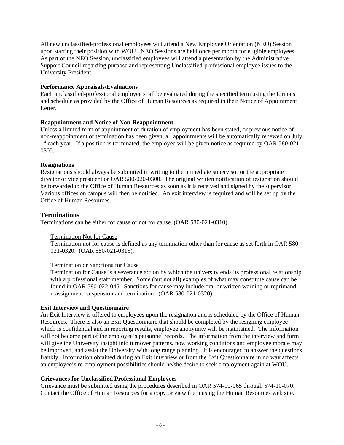All new unclassified-professional employees will attend a New Employee Orientation (NEO) Session upon starting their position with WOU. NEO Sessions are held once per month for eligible employees. As part of the NEO Session, unclassified employees will attend a presentation by the Administrative Support Council regarding purpose and representing Unclassified-professional employee issues to the University President.

#### **Performance Appraisals/Evaluations**

Each unclassified-professional employee shall be evaluated during the specified term using the formats and schedule as provided by the Office of Human Resources as required in their Notice of Appointment Letter.

#### **Reappointment and Notice of Non-Reappointment**

Unless a limited term of appointment or duration of employment has been stated, or previous notice of non-reappointment or termination has been given, all appointments will be automatically renewed on July  $1<sup>st</sup>$  each year. If a position is terminated, the employee will be given notice as required by OAR 580-021-0305.

#### **Resignations**

Resignations should always be submitted in writing to the immediate supervisor or the appropriate director or vice president or OAR 580-020-0300. The original written notification of resignation should be forwarded to the Office of Human Resources as soon as it is received and signed by the supervisor. Various offices on campus will then be notified. An exit interview is required and will be set up by the Office of Human Resources.

#### **Terminations**

Terminations can be either for cause or not for cause. (OAR 580-021-0310).

#### Termination Not for Cause

Termination not for cause is defined as any termination other than for cause as set forth in OAR 580- 021-0320. (OAR 580-021-0315).

#### Termination or Sanctions for Cause

Termination for Cause is a severance action by which the university ends its professional relationship with a professional staff member. Some (but not all) examples of what may constitute cause can be found in OAR 580-022-045. Sanctions for cause may include oral or written warning or reprimand, reassignment, suspension and termination. (OAR 580-021-0320)

#### **Exit Interview and Questionnaire**

An Exit Interview is offered to employees upon the resignation and is scheduled by the Office of Human Resources. There is also an Exit Questionnaire that should be completed by the resigning employee which is confidential and in reporting results, employee anonymity will be maintained. The information will not become part of the employee's personnel records. The information from the interview and form will give the University insight into turnover patterns, how working conditions and employee morale may be improved, and assist the University with long range planning. It is encouraged to answer the questions frankly. Information obtained during an Exit Interview or from the Exit Questionnaire in no way affects an employee's re-employment possibilities should he/she desire to seek employment again at WOU.

#### **Grievances for Unclassified Professional Employees**

Grievance must be submitted using the procedures described in OAR 574-10-065 through 574-10-070. Contact the Office of Human Resources for a copy or view them using the Human Resources web site.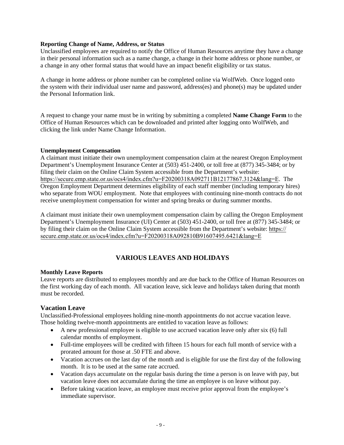#### **Reporting Change of Name, Address, or Status**

Unclassified employees are required to notify the Office of Human Resources anytime they have a change in their personal information such as a name change, a change in their home address or phone number, or a change in any other formal status that would have an impact benefit eligibility or tax status.

A change in home address or phone number can be completed online via WolfWeb. Once logged onto the system with their individual user name and password, address(es) and phone(s) may be updated under the Personal Information link.

A request to change your name must be in writing by submitting a completed **Name Change Form** to the Office of Human Resources which can be downloaded and printed after logging onto WolfWeb, and clicking the link under Name Change Information.

#### **Unemployment Compensation**

A claimant must initiate their own unemployment compensation claim at the nearest Oregon Employment Department's Unemployment Insurance Center at (503) 451-2400, or toll free at (877) 345-3484; or by filing their claim on the Online Claim System accessible from the Department's website: https://secure.emp.state.or.us/ocs4/index.cfm?u=F20200318A092711B12177867.3124&lang=E. The Oregon Employment Department determines eligibility of each staff member (including temporary hires) who separate from WOU employment. Note that employees with continuing nine-month contracts do not receive unemployment compensation for winter and spring breaks or during summer months.

A claimant must initiate their own unemployment compensation claim by calling the Oregon Employment Department's Unemployment Insurance (UI) Center at (503) 451-2400, or toll free at (877) 345-3484; or by filing their claim on the Online Claim System accessible from the Department's website: https:// secure.emp.state.or.us/ocs4/index.cfm?u=F20200318A092810B91607495.6421&lang=E

## **VARIOUS LEAVES AND HOLIDAYS**

#### **Monthly Leave Reports**

Leave reports are distributed to employees monthly and are due back to the Office of Human Resources on the first working day of each month. All vacation leave, sick leave and holidays taken during that month must be recorded.

#### **Vacation Leave**

Unclassified-Professional employees holding nine-month appointments do not accrue vacation leave. Those holding twelve-month appointments are entitled to vacation leave as follows:

- A new professional employee is eligible to use accrued vacation leave only after six (6) full calendar months of employment.
- Full-time employees will be credited with fifteen 15 hours for each full month of service with a prorated amount for those at .50 FTE and above.
- Vacation accrues on the last day of the month and is eligible for use the first day of the following month. It is to be used at the same rate accrued.
- Vacation days accumulate on the regular basis during the time a person is on leave with pay, but vacation leave does not accumulate during the time an employee is on leave without pay.
- Before taking vacation leave, an employee must receive prior approval from the employee's immediate supervisor.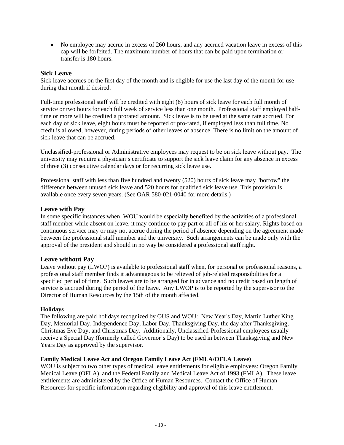• No employee may accrue in excess of 260 hours, and any accrued vacation leave in excess of this cap will be forfeited. The maximum number of hours that can be paid upon termination or transfer is 180 hours.

#### **Sick Leave**

Sick leave accrues on the first day of the month and is eligible for use the last day of the month for use during that month if desired.

Full-time professional staff will be credited with eight (8) hours of sick leave for each full month of service or two hours for each full week of service less than one month. Professional staff employed halftime or more will be credited a prorated amount. Sick leave is to be used at the same rate accrued. For each day of sick leave, eight hours must be reported or pro-rated, if employed less than full time. No credit is allowed, however, during periods of other leaves of absence. There is no limit on the amount of sick leave that can be accrued.

Unclassified-professional or Administrative employees may request to be on sick leave without pay. The university may require a physician's certificate to support the sick leave claim for any absence in excess of three (3) consecutive calendar days or for recurring sick leave use.

Professional staff with less than five hundred and twenty (520) hours of sick leave may "borrow" the difference between unused sick leave and 520 hours for qualified sick leave use. This provision is available once every seven years. (See OAR 580-021-0040 for more details.)

#### **Leave with Pay**

In some specific instances when WOU would be especially benefited by the activities of a professional staff member while absent on leave, it may continue to pay part or all of his or her salary. Rights based on continuous service may or may not accrue during the period of absence depending on the agreement made between the professional staff member and the university. Such arrangements can be made only with the approval of the president and should in no way be considered a professional staff right.

#### **Leave without Pay**

Leave without pay (LWOP) is available to professional staff when, for personal or professional reasons, a professional staff member finds it advantageous to be relieved of job-related responsibilities for a specified period of time. Such leaves are to be arranged for in advance and no credit based on length of service is accrued during the period of the leave. Any LWOP is to be reported by the supervisor to the Director of Human Resources by the 15th of the month affected.

#### **Holidays**

The following are paid holidays recognized by OUS and WOU: New Year's Day, Martin Luther King Day, Memorial Day, Independence Day, Labor Day, Thanksgiving Day, the day after Thanksgiving, Christmas Eve Day, and Christmas Day. Additionally, Unclassified-Professional employees usually receive a Special Day (formerly called Governor's Day) to be used in between Thanksgiving and New Years Day as approved by the supervisor.

#### **Family Medical Leave Act and Oregon Family Leave Act (FMLA/OFLA Leave)**

WOU is subject to two other types of medical leave entitlements for eligible employees: Oregon Family Medical Leave (OFLA), and the Federal Family and Medical Leave Act of 1993 (FMLA). These leave entitlements are administered by the Office of Human Resources. Contact the Office of Human Resources for specific information regarding eligibility and approval of this leave entitlement.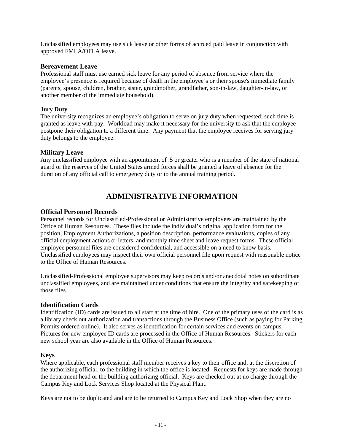Unclassified employees may use sick leave or other forms of accrued paid leave in conjunction with approved FMLA/OFLA leave.

#### **Bereavement Leave**

Professional staff must use earned sick leave for any period of absence from service where the employee's presence is required because of death in the employee's or their spouse's immediate family (parents, spouse, children, brother, sister, grandmother, grandfather, son-in-law, daughter-in-law, or another member of the immediate household).

#### **Jury Duty**

The university recognizes an employee's obligation to serve on jury duty when requested; such time is granted as leave with pay. Workload may make it necessary for the university to ask that the employee postpone their obligation to a different time. Any payment that the employee receives for serving jury duty belongs to the employee.

#### **Military Leave**

Any unclassified employee with an appointment of .5 or greater who is a member of the state of national guard or the reserves of the United States armed forces shall be granted a leave of absence for the duration of any official call to emergency duty or to the annual training period.

# **ADMINISTRATIVE INFORMATION**

#### **Official Personnel Records**

Personnel records for Unclassified-Professional or Administrative employees are maintained by the Office of Human Resources. These files include the individual's original application form for the position, Employment Authorizations, a position description, performance evaluations, copies of any official employment actions or letters, and monthly time sheet and leave request forms. These official employee personnel files are considered confidential, and accessible on a need to know basis. Unclassified employees may inspect their own official personnel file upon request with reasonable notice to the Office of Human Resources.

Unclassified-Professional employee supervisors may keep records and/or anecdotal notes on subordinate unclassified employees, and are maintained under conditions that ensure the integrity and safekeeping of those files.

#### **Identification Cards**

Identification (ID) cards are issued to all staff at the time of hire. One of the primary uses of the card is as a library check out authorization and transactions through the Business Office (such as paying for Parking Permits ordered online). It also serves as identification for certain services and events on campus. Pictures for new employee ID cards are processed in the Office of Human Resources. Stickers for each new school year are also available in the Office of Human Resources.

#### **Keys**

Where applicable, each professional staff member receives a key to their office and, at the discretion of the authorizing official, to the building in which the office is located. Requests for keys are made through the department head or the building authorizing official. Keys are checked out at no charge through the Campus Key and Lock Services Shop located at the Physical Plant.

Keys are not to be duplicated and are to be returned to Campus Key and Lock Shop when they are no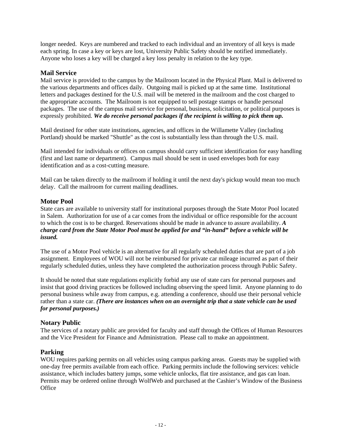longer needed. Keys are numbered and tracked to each individual and an inventory of all keys is made each spring. In case a key or keys are lost, University Public Safety should be notified immediately. Anyone who loses a key will be charged a key loss penalty in relation to the key type.

#### **Mail Service**

Mail service is provided to the campus by the Mailroom located in the Physical Plant. Mail is delivered to the various departments and offices daily. Outgoing mail is picked up at the same time. Institutional letters and packages destined for the U.S. mail will be metered in the mailroom and the cost charged to the appropriate accounts. The Mailroom is not equipped to sell postage stamps or handle personal packages. The use of the campus mail service for personal, business, solicitation, or political purposes is expressly prohibited. *We do receive personal packages if the recipient is willing to pick them up.*

Mail destined for other state institutions, agencies, and offices in the Willamette Valley (including Portland) should be marked "Shuttle" as the cost is substantially less than through the U.S. mail.

Mail intended for individuals or offices on campus should carry sufficient identification for easy handling (first and last name or department). Campus mail should be sent in used envelopes both for easy identification and as a cost-cutting measure.

Mail can be taken directly to the mailroom if holding it until the next day's pickup would mean too much delay. Call the mailroom for current mailing deadlines.

#### **Motor Pool**

State cars are available to university staff for institutional purposes through the State Motor Pool located in Salem. Authorization for use of a car comes from the individual or office responsible for the account to which the cost is to be charged. Reservations should be made in advance to assure availability. *A charge card from the State Motor Pool must be applied for and "in-hand" before a vehicle will be issued.*

The use of a Motor Pool vehicle is an alternative for all regularly scheduled duties that are part of a job assignment. Employees of WOU will not be reimbursed for private car mileage incurred as part of their regularly scheduled duties, unless they have completed the authorization process through Public Safety.

It should be noted that state regulations explicitly forbid any use of state cars for personal purposes and insist that good driving practices be followed including observing the speed limit. Anyone planning to do personal business while away from campus, e.g. attending a conference, should use their personal vehicle rather than a state car. *(There are instances when on an overnight trip that a state vehicle can be used for personal purposes.)*

#### **Notary Public**

The services of a notary public are provided for faculty and staff through the Offices of Human Resources and the Vice President for Finance and Administration. Please call to make an appointment.

#### **Parking**

WOU requires parking permits on all vehicles using campus parking areas. Guests may be supplied with one-day free permits available from each office. Parking permits include the following services: vehicle assistance, which includes battery jumps, some vehicle unlocks, flat tire assistance, and gas can loan. Permits may be ordered online through WolfWeb and purchased at the Cashier's Window of the Business **Office**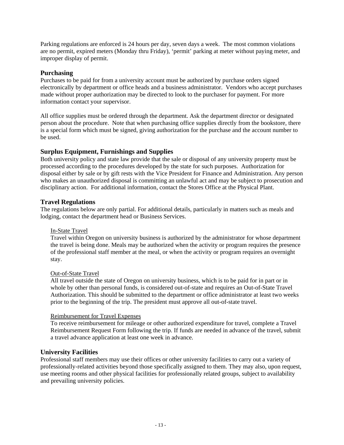Parking regulations are enforced is 24 hours per day, seven days a week. The most common violations are no permit, expired meters (Monday thru Friday), 'permit' parking at meter without paying meter, and improper display of permit.

#### **Purchasing**

Purchases to be paid for from a university account must be authorized by purchase orders signed electronically by department or office heads and a business administrator. Vendors who accept purchases made without proper authorization may be directed to look to the purchaser for payment. For more information contact your supervisor.

All office supplies must be ordered through the department. Ask the department director or designated person about the procedure. Note that when purchasing office supplies directly from the bookstore, there is a special form which must be signed, giving authorization for the purchase and the account number to be used.

#### **Surplus Equipment, Furnishings and Supplies**

Both university policy and state law provide that the sale or disposal of any university property must be processed according to the procedures developed by the state for such purposes. Authorization for disposal either by sale or by gift rests with the Vice President for Finance and Administration. Any person who makes an unauthorized disposal is committing an unlawful act and may be subject to prosecution and disciplinary action. For additional information, contact the Stores Office at the Physical Plant.

#### **Travel Regulations**

The regulations below are only partial. For additional details, particularly in matters such as meals and lodging, contact the department head or Business Services.

#### In-State Travel

Travel within Oregon on university business is authorized by the administrator for whose department the travel is being done. Meals may be authorized when the activity or program requires the presence of the professional staff member at the meal, or when the activity or program requires an overnight stay.

#### Out-of-State Travel

All travel outside the state of Oregon on university business, which is to be paid for in part or in whole by other than personal funds, is considered out-of-state and requires an Out-of-State Travel Authorization. This should be submitted to the department or office administrator at least two weeks prior to the beginning of the trip. The president must approve all out-of-state travel.

#### Reimbursement for Travel Expenses

To receive reimbursement for mileage or other authorized expenditure for travel, complete a Travel Reimbursement Request Form following the trip. If funds are needed in advance of the travel, submit a travel advance application at least one week in advance.

#### **University Facilities**

Professional staff members may use their offices or other university facilities to carry out a variety of professionally-related activities beyond those specifically assigned to them. They may also, upon request, use meeting rooms and other physical facilities for professionally related groups, subject to availability and prevailing university policies.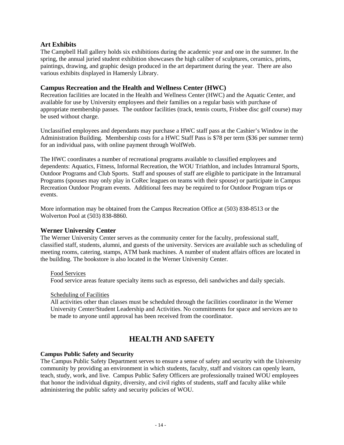#### **Art Exhibits**

The Campbell Hall gallery holds six exhibitions during the academic year and one in the summer. In the spring, the annual juried student exhibition showcases the high caliber of sculptures, ceramics, prints, paintings, drawing, and graphic design produced in the art department during the year. There are also various exhibits displayed in Hamersly Library.

#### **Campus Recreation and the Health and Wellness Center (HWC)**

Recreation facilities are located in the Health and Wellness Center (HWC) and the Aquatic Center, and available for use by University employees and their families on a regular basis with purchase of appropriate membership passes. The outdoor facilities (track, tennis courts, Frisbee disc golf course) may be used without charge.

Unclassified employees and dependants may purchase a HWC staff pass at the Cashier's Window in the Administration Building. Membership costs for a HWC Staff Pass is \$78 per term (\$36 per summer term) for an individual pass, with online payment through WolfWeb.

The HWC coordinates a number of recreational programs available to classified employees and dependents: Aquatics, Fitness, Informal Recreation, the WOU Triathlon, and includes Intramural Sports, Outdoor Programs and Club Sports. Staff and spouses of staff are eligible to participate in the Intramural Programs (spouses may only play in CoRec leagues on teams with their spouse) or participate in Campus Recreation Outdoor Program events. Additional fees may be required to for Outdoor Program trips or events.

More information may be obtained from the Campus Recreation Office at (503) 838-8513 or the Wolverton Pool at (503) 838-8860.

#### **Werner University Center**

The Werner University Center serves as the community center for the faculty, professional staff, classified staff, students, alumni, and guests of the university. Services are available such as scheduling of meeting rooms, catering, stamps, ATM bank machines. A number of student affairs offices are located in the building. The bookstore is also located in the Werner University Center.

#### Food Services

Food service areas feature specialty items such as espresso, deli sandwiches and daily specials.

#### Scheduling of Facilities

All activities other than classes must be scheduled through the facilities coordinator in the Werner University Center/Student Leadership and Activities. No commitments for space and services are to be made to anyone until approval has been received from the coordinator.

# **HEALTH AND SAFETY**

#### **Campus Public Safety and Security**

The Campus Public Safety Department serves to ensure a sense of safety and security with the University community by providing an environment in which students, faculty, staff and visitors can openly learn, teach, study, work, and live. Campus Public Safety Officers are professionally trained WOU employees that honor the individual dignity, diversity, and civil rights of students, staff and faculty alike while administering the public safety and security policies of WOU.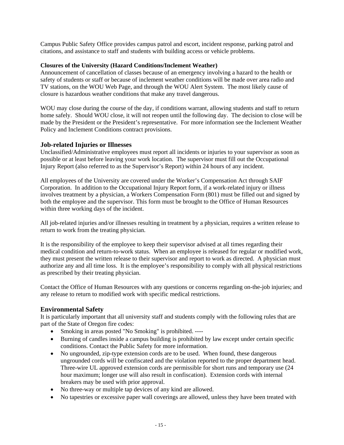Campus Public Safety Office provides campus patrol and escort, incident response, parking patrol and citations, and assistance to staff and students with building access or vehicle problems.

#### **Closures of the University (Hazard Conditions/Inclement Weather)**

Announcement of cancellation of classes because of an emergency involving a hazard to the health or safety of students or staff or because of inclement weather conditions will be made over area radio and TV stations, on the WOU Web Page, and through the WOU Alert System. The most likely cause of closure is hazardous weather conditions that make any travel dangerous.

WOU may close during the course of the day, if conditions warrant, allowing students and staff to return home safely. Should WOU close, it will not reopen until the following day. The decision to close will be made by the President or the President's representative. For more information see the Inclement Weather Policy and Inclement Conditions contract provisions.

#### **Job-related Injuries or Illnesses**

Unclassified/Administrative employees must report all incidents or injuries to your supervisor as soon as possible or at least before leaving your work location. The supervisor must fill out the Occupational Injury Report (also referred to as the Supervisor's Report) within 24 hours of any incident.

All employees of the University are covered under the Worker's Compensation Act through SAIF Corporation. In addition to the Occupational Injury Report form, if a work-related injury or illness involves treatment by a physician, a Workers Compensation Form (801) must be filled out and signed by both the employee and the supervisor. This form must be brought to the Office of Human Resources within three working days of the incident.

All job-related injuries and/or illnesses resulting in treatment by a physician, requires a written release to return to work from the treating physician.

It is the responsibility of the employee to keep their supervisor advised at all times regarding their medical condition and return-to-work status. When an employee is released for regular or modified work, they must present the written release to their supervisor and report to work as directed. A physician must authorize any and all time loss. It is the employee's responsibility to comply with all physical restrictions as prescribed by their treating physician.

Contact the Office of Human Resources with any questions or concerns regarding on-the-job injuries; and any release to return to modified work with specific medical restrictions.

#### **Environmental Safety**

It is particularly important that all university staff and students comply with the following rules that are part of the State of Oregon fire codes:

- Smoking in areas posted "No Smoking" is prohibited. ----
- Burning of candles inside a campus building is prohibited by law except under certain specific conditions. Contact the Public Safety for more information.
- No ungrounded, zip-type extension cords are to be used. When found, these dangerous ungrounded cords will be confiscated and the violation reported to the proper department head. Three-wire UL approved extension cords are permissible for short runs and temporary use (24 hour maximum; longer use will also result in confiscation). Extension cords with internal breakers may be used with prior approval.
- No three-way or multiple tap devices of any kind are allowed.
- No tapestries or excessive paper wall coverings are allowed, unless they have been treated with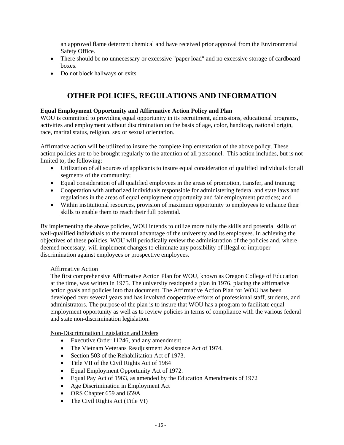an approved flame deterrent chemical and have received prior approval from the Environmental Safety Office.

- There should be no unnecessary or excessive "paper load" and no excessive storage of cardboard boxes.
- Do not block hallways or exits.

# **OTHER POLICIES, REGULATIONS AND INFORMATION**

#### **Equal Employment Opportunity and Affirmative Action Policy and Plan**

WOU is committed to providing equal opportunity in its recruitment, admissions, educational programs, activities and employment without discrimination on the basis of age, color, handicap, national origin, race, marital status, religion, sex or sexual orientation.

Affirmative action will be utilized to insure the complete implementation of the above policy. These action policies are to be brought regularly to the attention of all personnel. This action includes, but is not limited to, the following:

- Utilization of all sources of applicants to insure equal consideration of qualified individuals for all segments of the community;
- Equal consideration of all qualified employees in the areas of promotion, transfer, and training;
- Cooperation with authorized individuals responsible for administering federal and state laws and regulations in the areas of equal employment opportunity and fair employment practices; and
- Within institutional resources, provision of maximum opportunity to employees to enhance their skills to enable them to reach their full potential.

By implementing the above policies, WOU intends to utilize more fully the skills and potential skills of well-qualified individuals to the mutual advantage of the university and its employees. In achieving the objectives of these policies, WOU will periodically review the administration of the policies and, where deemed necessary, will implement changes to eliminate any possibility of illegal or improper discrimination against employees or prospective employees.

#### Affirmative Action

The first comprehensive Affirmative Action Plan for WOU, known as Oregon College of Education at the time, was written in 1975. The university readopted a plan in 1976, placing the affirmative action goals and policies into that document. The Affirmative Action Plan for WOU has been developed over several years and has involved cooperative efforts of professional staff, students, and administrators. The purpose of the plan is to insure that WOU has a program to facilitate equal employment opportunity as well as to review policies in terms of compliance with the various federal and state non-discrimination legislation.

#### Non-Discrimination Legislation and Orders

- Executive Order 11246, and any amendment
- The Vietnam Veterans Readjustment Assistance Act of 1974.
- Section 503 of the Rehabilitation Act of 1973.
- Title VII of the Civil Rights Act of 1964
- Equal Employment Opportunity Act of 1972.
- Equal Pay Act of 1963, as amended by the Education Amendments of 1972
- Age Discrimination in Employment Act
- ORS Chapter 659 and 659A
- The Civil Rights Act (Title VI)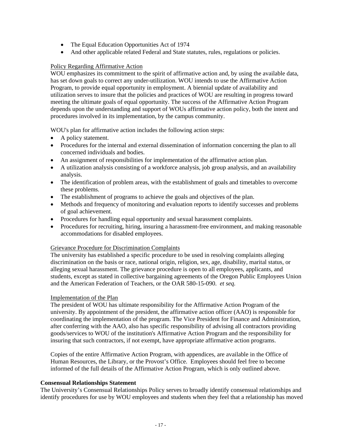- The Equal Education Opportunities Act of 1974
- And other applicable related Federal and State statutes, rules, regulations or policies.

#### Policy Regarding Affirmative Action

WOU emphasizes its commitment to the spirit of affirmative action and, by using the available data, has set down goals to correct any under-utilization. WOU intends to use the Affirmative Action Program, to provide equal opportunity in employment. A biennial update of availability and utilization serves to insure that the policies and practices of WOU are resulting in progress toward meeting the ultimate goals of equal opportunity. The success of the Affirmative Action Program depends upon the understanding and support of WOUs affirmative action policy, both the intent and procedures involved in its implementation, by the campus community.

WOU's plan for affirmative action includes the following action steps:

- A policy statement.
- Procedures for the internal and external dissemination of information concerning the plan to all concerned individuals and bodies.
- An assignment of responsibilities for implementation of the affirmative action plan.
- A utilization analysis consisting of a workforce analysis, job group analysis, and an availability analysis.
- The identification of problem areas, with the establishment of goals and timetables to overcome these problems.
- The establishment of programs to achieve the goals and objectives of the plan.
- Methods and frequency of monitoring and evaluation reports to identify successes and problems of goal achievement.
- Procedures for handling equal opportunity and sexual harassment complaints.
- Procedures for recruiting, hiring, insuring a harassment-free environment, and making reasonable accommodations for disabled employees.

#### Grievance Procedure for Discrimination Complaints

The university has established a specific procedure to be used in resolving complaints alleging discrimination on the basis or race, national origin, religion, sex, age, disability, marital status, or alleging sexual harassment. The grievance procedure is open to all employees, applicants, and students, except as stated in collective bargaining agreements of the Oregon Public Employees Union and the American Federation of Teachers, or the OAR 580-15-090. *et seq.*

#### Implementation of the Plan

The president of WOU has ultimate responsibility for the Affirmative Action Program of the university. By appointment of the president, the affirmative action officer (AAO) is responsible for coordinating the implementation of the program. The Vice President for Finance and Administration, after conferring with the AAO, also has specific responsibility of advising all contractors providing goods/services to WOU of the institution's Affirmative Action Program and the responsibility for insuring that such contractors, if not exempt, have appropriate affirmative action programs.

Copies of the entire Affirmative Action Program, with appendices, are available in the Office of Human Resources, the Library, or the Provost's Office. Employees should feel free to become informed of the full details of the Affirmative Action Program, which is only outlined above.

#### **Consensual Relationships Statement**

The University's Consensual Relationships Policy serves to broadly identify consensual relationships and identify procedures for use by WOU employees and students when they feel that a relationship has moved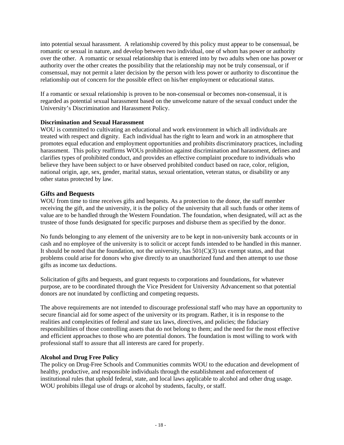into potential sexual harassment. A relationship covered by this policy must appear to be consensual, be romantic or sexual in nature, and develop between two individual, one of whom has power or authority over the other. A romantic or sexual relationship that is entered into by two adults when one has power or authority over the other creates the possibility that the relationship may not be truly consensual, or if consensual, may not permit a later decision by the person with less power or authority to discontinue the relationship out of concern for the possible effect on his/her employment or educational status.

If a romantic or sexual relationship is proven to be non-consensual or becomes non-consensual, it is regarded as potential sexual harassment based on the unwelcome nature of the sexual conduct under the University's Discrimination and Harassment Policy.

#### **Discrimination and Sexual Harassment**

WOU is committed to cultivating an educational and work environment in which all individuals are treated with respect and dignity. Each individual has the right to learn and work in an atmosphere that promotes equal education and employment opportunities and prohibits discriminatory practices, including harassment. This policy reaffirms WOUs prohibition against discrimination and harassment, defines and clarifies types of prohibited conduct, and provides an effective complaint procedure to individuals who believe they have been subject to or have observed prohibited conduct based on race, color, religion, national origin, age, sex, gender, marital status, sexual orientation, veteran status, or disability or any other status protected by law.

#### **Gifts and Bequests**

WOU from time to time receives gifts and bequests. As a protection to the donor, the staff member receiving the gift, and the university, it is the policy of the university that all such funds or other items of value are to be handled through the Western Foundation. The foundation, when designated, will act as the trustee of those funds designated for specific purposes and disburse them as specified by the donor.

No funds belonging to any element of the university are to be kept in non-university bank accounts or in cash and no employee of the university is to solicit or accept funds intended to be handled in this manner. It should be noted that the foundation, not the university, has  $501(C)(3)$  tax exempt status, and that problems could arise for donors who give directly to an unauthorized fund and then attempt to use those gifts as income tax deductions.

Solicitation of gifts and bequests, and grant requests to corporations and foundations, for whatever purpose, are to be coordinated through the Vice President for University Advancement so that potential donors are not inundated by conflicting and competing requests.

The above requirements are not intended to discourage professional staff who may have an opportunity to secure financial aid for some aspect of the university or its program. Rather, it is in response to the realities and complexities of federal and state tax laws, directives, and policies; the fiduciary responsibilities of those controlling assets that do not belong to them; and the need for the most effective and efficient approaches to those who are potential donors. The foundation is most willing to work with professional staff to assure that all interests are cared for properly.

#### **Alcohol and Drug Free Policy**

The policy on Drug-Free Schools and Communities commits WOU to the education and development of healthy, productive, and responsible individuals through the establishment and enforcement of institutional rules that uphold federal, state, and local laws applicable to alcohol and other drug usage. WOU prohibits illegal use of drugs or alcohol by students, faculty, or staff.